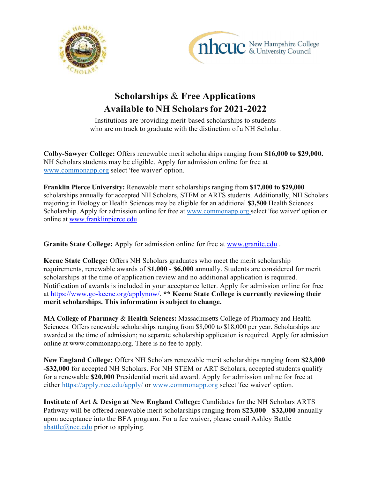



## **Scholarships** & **Free Applications Available to NH Scholarsfor 2021-2022**

Institutions are providing merit-based scholarships to students who are on track to graduate with the distinction of a NH Scholar.

**Colby-Sawyer College:** Offers renewable merit scholarships ranging from **\$16,000 to \$29,000.**  NH Scholars students may be eligible. Apply for admission online for free at [www.commonapp.org](http://www.commonapp.org/) select 'fee waiver' option.

**Franklin Pierce University:** Renewable merit scholarships ranging from **\$17,000 to \$29,000**  scholarships annually for accepted NH Scholars, STEM or ARTS students. Additionally, NH Scholars majoring in Biology or Health Sciences may be eligible for an additional **\$3,500** Health Sciences Scholarship. Apply for admission online for free at [www.commonapp.org s](https://nam11.safelinks.protection.outlook.com/?url=http%3A%2F%2Fwww.commonapp.org%2F&data=04%7C01%7Cquimbyl%40franklinpierce.edu%7Cae41fa4d37f846d7ca4b08d973a04919%7C04ab64c7733f4d3988a0cb5c1c5cfe58%7C0%7C0%7C637667954529335260%7CUnknown%7CTWFpbGZsb3d8eyJWIjoiMC4wLjAwMDAiLCJQIjoiV2luMzIiLCJBTiI6Ik1haWwiLCJXVCI6Mn0%3D%7C1000&sdata=4JsRkeDjke%2BG4bGypH%2BCTMenTRxwRofQKYOqQF0ruAs%3D&reserved=0)elect 'fee waiver' option or online at [www.franklinpierce.edu](https://nam11.safelinks.protection.outlook.com/?url=http%3A%2F%2Fwww.franklinpierce.edu%2F&data=04%7C01%7Cquimbyl%40franklinpierce.edu%7Cae41fa4d37f846d7ca4b08d973a04919%7C04ab64c7733f4d3988a0cb5c1c5cfe58%7C0%7C0%7C637667954529335260%7CUnknown%7CTWFpbGZsb3d8eyJWIjoiMC4wLjAwMDAiLCJQIjoiV2luMzIiLCJBTiI6Ik1haWwiLCJXVCI6Mn0%3D%7C1000&sdata=01DdDuhCVJUaITpTr5XUyuXQEOfP%2FF9omiDQHDZlEgI%3D&reserved=0)

**Granite State College:** Apply for admission online for free at [www.granite.edu](http://www.granite.edu/) .

**Keene State College:** Offers NH Scholars graduates who meet the merit scholarship requirements, renewable awards of **\$1,000** - **\$6,000** annually. Students are considered for merit scholarships at the time of application review and no additional application is required. Notification of awards is included in your acceptance letter. Apply for admission online for free at [https://www.go-keene.org/applynow/.](https://www.go-keene.org/applynow/) **\*\* Keene State College is currently reviewing their merit scholarships. This information is subject to change.**

**MA College of Pharmacy** & **Health Sciences:** Massachusetts College of Pharmacy and Health Sciences: Offers renewable scholarships ranging from \$8,000 to \$18,000 per year. Scholarships are awarded at the time of admission; no separate scholarship application is required. Apply for admission online at www.commonapp.org. There is no fee to apply.

**New England College:** Offers NH Scholars renewable merit scholarships ranging from **\$23,000 -\$32,000** for accepted NH Scholars. For NH STEM or ART Scholars, accepted students qualify for a renewable **\$20,000** Presidential merit aid award. Apply for admission online for free at either https://apply.nec.edu/apply/ or [www.commonapp.org](http://www.commonapp.org/) select 'fee waiver' option.

**Institute of Art** & **Design at New England College:** Candidates for the NH Scholars ARTS Pathway will be offered renewable merit scholarships ranging from **\$23,000** - **\$32,000** annually upon acceptance into the BFA program. For a fee waiver, please email Ashley Battle [abattle@nec.edu](mailto:abattle@nec.edu) prior to applying.